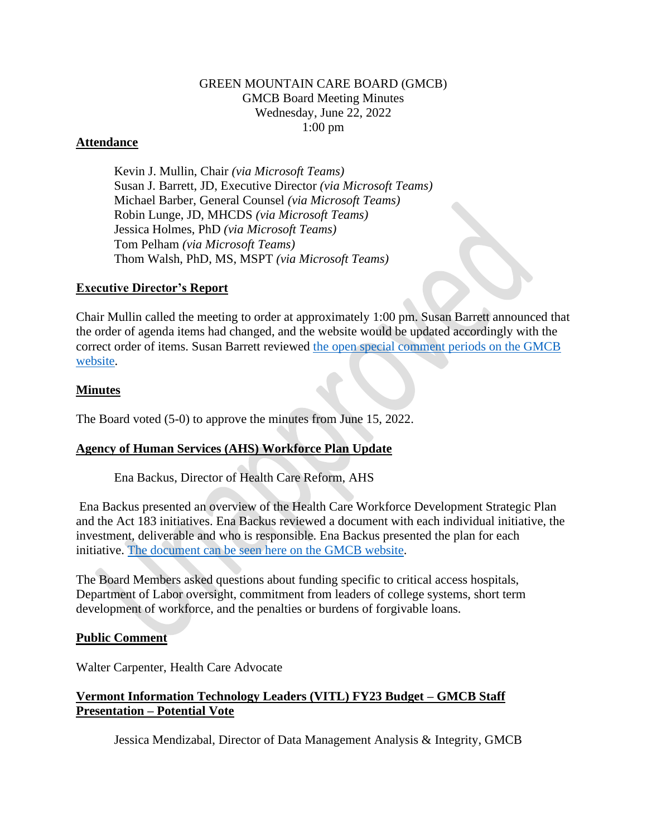## GREEN MOUNTAIN CARE BOARD (GMCB) GMCB Board Meeting Minutes Wednesday, June 22, 2022 1:00 pm

## **Attendance**

Kevin J. Mullin, Chair *(via Microsoft Teams)* Susan J. Barrett, JD, Executive Director *(via Microsoft Teams)* Michael Barber, General Counsel *(via Microsoft Teams)* Robin Lunge, JD, MHCDS *(via Microsoft Teams)* Jessica Holmes, PhD *(via Microsoft Teams)* Tom Pelham *(via Microsoft Teams)* Thom Walsh, PhD, MS, MSPT *(via Microsoft Teams)*

## **Executive Director's Report**

Chair Mullin called the meeting to order at approximately 1:00 pm. Susan Barrett announced that the order of agenda items had changed, and the website would be updated accordingly with the correct order of items. Susan Barrett reviewed [the open special comment periods on the GMCB](https://gmcboard.vermont.gov/board/comment)  [website.](https://gmcboard.vermont.gov/board/comment)

## **Minutes**

The Board voted (5-0) to approve the minutes from June 15, 2022.

# **Agency of Human Services (AHS) Workforce Plan Update**

Ena Backus, Director of Health Care Reform, AHS

Ena Backus presented an overview of the Health Care Workforce Development Strategic Plan and the Act 183 initiatives. Ena Backus reviewed a document with each individual initiative, the investment, deliverable and who is responsible. Ena Backus presented the plan for each initiative. [The document can be seen here on the GMCB website.](https://gmcboard.vermont.gov/sites/gmcb/files/documents/Health%20Care%20Workforce%20Investments%20183.pdf)

The Board Members asked questions about funding specific to critical access hospitals, Department of Labor oversight, commitment from leaders of college systems, short term development of workforce, and the penalties or burdens of forgivable loans.

### **Public Comment**

Walter Carpenter, Health Care Advocate

# **Vermont Information Technology Leaders (VITL) FY23 Budget – GMCB Staff Presentation – Potential Vote**

Jessica Mendizabal, Director of Data Management Analysis & Integrity, GMCB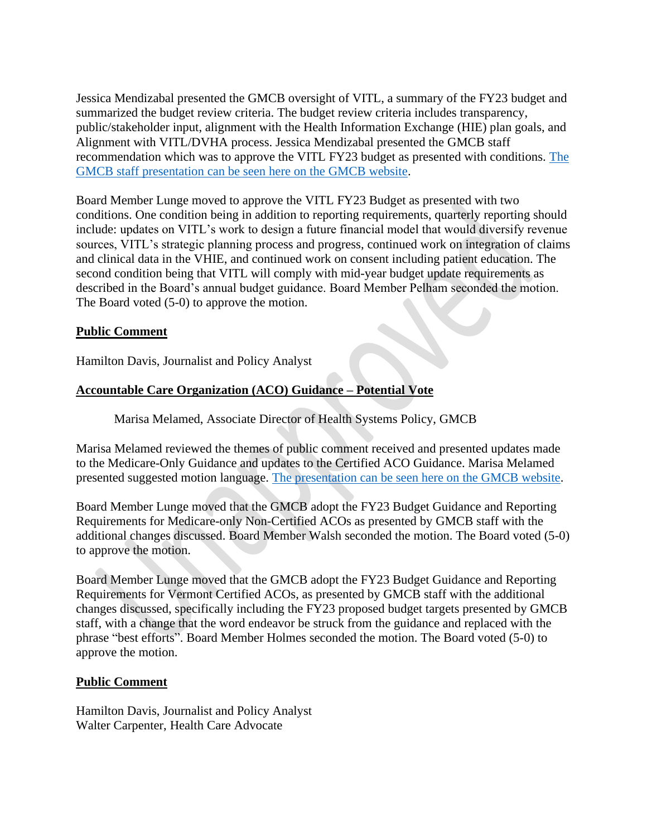Jessica Mendizabal presented the GMCB oversight of VITL, a summary of the FY23 budget and summarized the budget review criteria. The budget review criteria includes transparency, public/stakeholder input, alignment with the Health Information Exchange (HIE) plan goals, and Alignment with VITL/DVHA process. Jessica Mendizabal presented the GMCB staff recommendation which was to approve the VITL FY23 budget as presented with conditions. [The](https://gmcboard.vermont.gov/document/vitl-fy22-budget-review-gmcb-staff-presentation)  [GMCB staff presentation can be seen here on the GMCB website.](https://gmcboard.vermont.gov/document/vitl-fy22-budget-review-gmcb-staff-presentation)

Board Member Lunge moved to approve the VITL FY23 Budget as presented with two conditions. One condition being in addition to reporting requirements, quarterly reporting should include: updates on VITL's work to design a future financial model that would diversify revenue sources, VITL's strategic planning process and progress, continued work on integration of claims and clinical data in the VHIE, and continued work on consent including patient education. The second condition being that VITL will comply with mid-year budget update requirements as described in the Board's annual budget guidance. Board Member Pelham seconded the motion. The Board voted (5-0) to approve the motion.

# **Public Comment**

Hamilton Davis, Journalist and Policy Analyst

# **Accountable Care Organization (ACO) Guidance – Potential Vote**

Marisa Melamed, Associate Director of Health Systems Policy, GMCB

Marisa Melamed reviewed the themes of public comment received and presented updates made to the Medicare-Only Guidance and updates to the Certified ACO Guidance. Marisa Melamed presented suggested motion language. [The presentation can be seen here on the GMCB website.](https://gmcboard.vermont.gov/document/fy23-aco-budget-guidance-and-certification-form)

Board Member Lunge moved that the GMCB adopt the FY23 Budget Guidance and Reporting Requirements for Medicare-only Non-Certified ACOs as presented by GMCB staff with the additional changes discussed. Board Member Walsh seconded the motion. The Board voted (5-0) to approve the motion.

Board Member Lunge moved that the GMCB adopt the FY23 Budget Guidance and Reporting Requirements for Vermont Certified ACOs, as presented by GMCB staff with the additional changes discussed, specifically including the FY23 proposed budget targets presented by GMCB staff, with a change that the word endeavor be struck from the guidance and replaced with the phrase "best efforts". Board Member Holmes seconded the motion. The Board voted (5-0) to approve the motion.

### **Public Comment**

Hamilton Davis, Journalist and Policy Analyst Walter Carpenter, Health Care Advocate